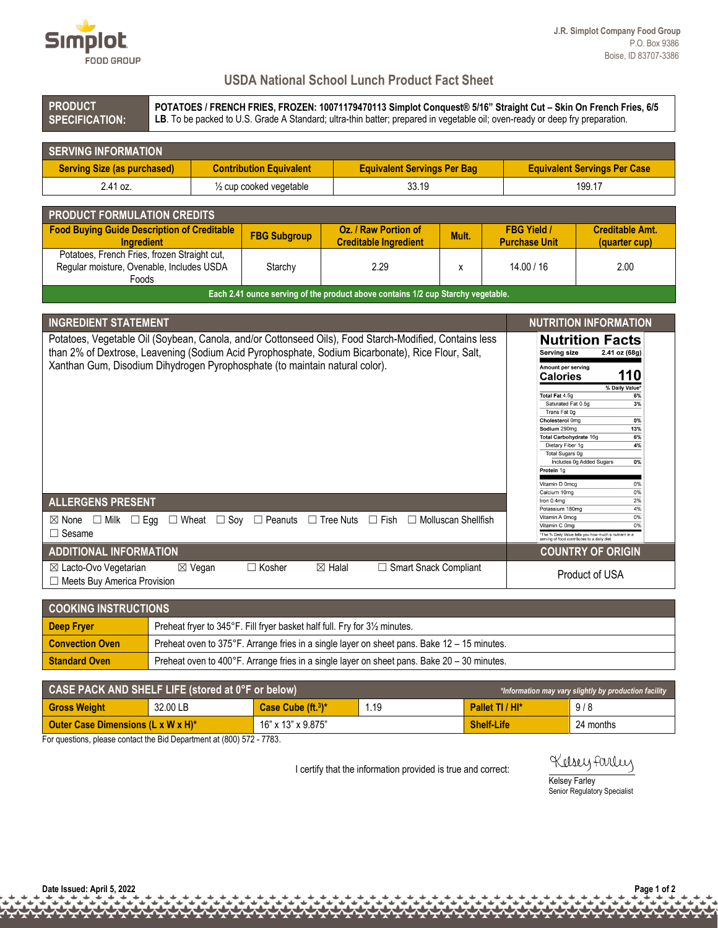

## **USDA National School Lunch Product Fact Sheet**

**PRODUCT SPECIFICATION:** **POTATOES / FRENCH FRIES, FROZEN: 10071179470113 Simplot Conquest® 5/16" Straight Cut – Skin On French Fries, 6/5** LB. To be packed to U.S. Grade A Standard; ultra-thin batter; prepared in vegetable oil; oven-ready or deep fry preparation.

| <b>SERVING INFORMATION</b>         |                                    |                                    |                                     |  |  |
|------------------------------------|------------------------------------|------------------------------------|-------------------------------------|--|--|
| <b>Serving Size (as purchased)</b> | <b>Contribution Equivalent</b>     | <b>Equivalent Servings Per Bag</b> | <b>Equivalent Servings Per Case</b> |  |  |
| 2.41 oz.                           | $\frac{1}{2}$ cup cooked vegetable | 33.19                              | 199.17                              |  |  |

| <b>PRODUCT FORMULATION CREDITS</b>                                                                 |                     |                                                      |       |                                            |                                         |
|----------------------------------------------------------------------------------------------------|---------------------|------------------------------------------------------|-------|--------------------------------------------|-----------------------------------------|
| <b>Food Buying Guide Description of Creditable</b><br><b>Ingredient</b>                            | <b>FBG Subgroup</b> | Oz. / Raw Portion of<br><b>Creditable Ingredient</b> | Mult. | <b>FBG Yield /</b><br><b>Purchase Unit</b> | <b>Creditable Amt.</b><br>(quarter cup) |
| Potatoes, French Fries, frozen Straight cut,<br>Regular moisture, Ovenable, Includes USDA<br>Foods | Starchy             | 2.29                                                 |       | 14.00 / 16                                 | 2.00                                    |
| Each 2.41 ounce serving of the product above contains 1/2 cup Starchy vegetable.                   |                     |                                                      |       |                                            |                                         |

| <b>INGREDIENT STATEMENT</b>                                                                                                                                                                                                                                                                | <b>NUTRITION INFORMATION</b>                                                                                                                                                                                                                                                                                                                                                                                             |
|--------------------------------------------------------------------------------------------------------------------------------------------------------------------------------------------------------------------------------------------------------------------------------------------|--------------------------------------------------------------------------------------------------------------------------------------------------------------------------------------------------------------------------------------------------------------------------------------------------------------------------------------------------------------------------------------------------------------------------|
| Potatoes, Vegetable Oil (Soybean, Canola, and/or Cottonseed Oils), Food Starch-Modified, Contains less<br>than 2% of Dextrose, Leavening (Sodium Acid Pyrophosphate, Sodium Bicarbonate), Rice Flour, Salt,<br>Xanthan Gum, Disodium Dihydrogen Pyrophosphate (to maintain natural color). | <b>Nutrition Facts</b><br>2.41 oz (68g)<br>Serving size<br>Amount per serving<br>110<br><b>Calories</b><br>% Daily Value*<br>Total Fat 4.5g<br>6%<br>Saturated Fat 0.5g<br>3%<br>Trans Fat 0q<br>Cholesterol 0mg<br>0%<br>Sodium 290mg<br>13%<br>6%<br>Total Carbohydrate 16g<br>Dietary Fiber 1g<br>4%<br>Total Sugars 0g<br>Includes 0g Added Sugars<br>0%<br>Protein 1g<br>Vitamin D 0mcq<br>0%<br>Calcium 10mg<br>0% |
| <b>ALLERGENS PRESENT</b>                                                                                                                                                                                                                                                                   | Iron 0.4mg<br>2%<br>Potassium 180mg<br>4%                                                                                                                                                                                                                                                                                                                                                                                |
| $\Box$ Wheat $\Box$ Sov<br>$\Box$ Peanuts<br>$\Box$ Tree Nuts $\Box$ Fish $\Box$ Molluscan Shellfish<br>$\boxtimes$ None $\Box$ Milk $\Box$ Egg<br>$\Box$ Sesame                                                                                                                           | Vitamin A 0mcg<br>0%<br>Vitamin C 0mg<br>0%<br>*The % Daily Value tells you how much a nutrient in a<br>serving of food contributes to a daily diet.                                                                                                                                                                                                                                                                     |
| <b>ADDITIONAL INFORMATION</b>                                                                                                                                                                                                                                                              | <b>COUNTRY OF ORIGIN</b>                                                                                                                                                                                                                                                                                                                                                                                                 |
| $\boxtimes$ Lacto-Ovo Vegetarian<br>$\Box$ Kosher<br>$\boxtimes$ Halal<br>$\Box$ Smart Snack Compliant<br>⊠ Vegan<br>$\Box$ Meets Buy America Provision                                                                                                                                    | Product of USA                                                                                                                                                                                                                                                                                                                                                                                                           |

| <b>COOKING INSTRUCTIONS</b> |                                                                                               |  |  |
|-----------------------------|-----------------------------------------------------------------------------------------------|--|--|
| Deep Fryer                  | Preheat fryer to 345°F. Fill fryer basket half full. Fry for 31/2 minutes.                    |  |  |
| <b>Convection Oven</b>      | Preheat oven to 375°F. Arrange fries in a single layer on sheet pans. Bake 12 – 15 minutes.   |  |  |
| <b>Standard Oven</b>        | Preheat oven to 400°F. Arrange fries in a single layer on sheet pans. Bake $20 - 30$ minutes. |  |  |

| CASE PACK AND SHELF LIFE (stored at 0°F or below)<br>*Information may vary slightly by production facility |          |                     |      |                   |           |
|------------------------------------------------------------------------------------------------------------|----------|---------------------|------|-------------------|-----------|
| <b>Gross Weight</b>                                                                                        | 32.00 LB | Case Cube $(ft13)*$ | 1.19 | Pallet TI / HI*   | 9/8       |
| Outer Case Dimensions (L x W x H)*                                                                         |          | 16" x 13" x 9.875"  |      | <b>Shelf-Life</b> | 24 months |

For questions, please contact the Bid Department at (800) 572 - 7783.

I certify that the information provided is true and correct:

Kelsey farley

Kelsey Farley Senior Regulatory Specialist

لف<br>ناه